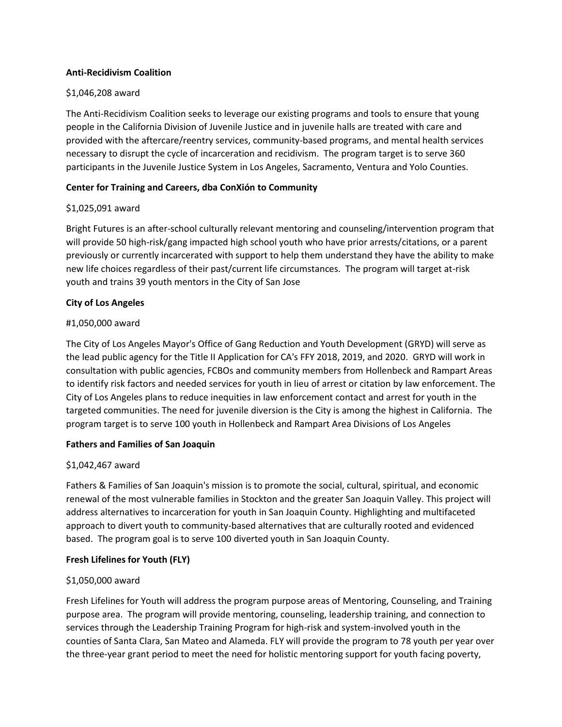### **Anti-Recidivism Coalition**

## \$1,046,208 award

The Anti-Recidivism Coalition seeks to leverage our existing programs and tools to ensure that young people in the California Division of Juvenile Justice and in juvenile halls are treated with care and provided with the aftercare/reentry services, community-based programs, and mental health services necessary to disrupt the cycle of incarceration and recidivism. The program target is to serve 360 participants in the Juvenile Justice System in Los Angeles, Sacramento, Ventura and Yolo Counties.

## **Center for Training and Careers, dba ConXión to Community**

#### \$1,025,091 award

Bright Futures is an after-school culturally relevant mentoring and counseling/intervention program that will provide 50 high-risk/gang impacted high school youth who have prior arrests/citations, or a parent previously or currently incarcerated with support to help them understand they have the ability to make new life choices regardless of their past/current life circumstances. The program will target at-risk youth and trains 39 youth mentors in the City of San Jose

#### **City of Los Angeles**

#### #1,050,000 award

The City of Los Angeles Mayor's Office of Gang Reduction and Youth Development (GRYD) will serve as the lead public agency for the Title II Application for CA's FFY 2018, 2019, and 2020. GRYD will work in consultation with public agencies, FCBOs and community members from Hollenbeck and Rampart Areas to identify risk factors and needed services for youth in lieu of arrest or citation by law enforcement. The City of Los Angeles plans to reduce inequities in law enforcement contact and arrest for youth in the targeted communities. The need for juvenile diversion is the City is among the highest in California. The program target is to serve 100 youth in Hollenbeck and Rampart Area Divisions of Los Angeles

## **Fathers and Families of San Joaquin**

## \$1,042,467 award

Fathers & Families of San Joaquin's mission is to promote the social, cultural, spiritual, and economic renewal of the most vulnerable families in Stockton and the greater San Joaquin Valley. This project will address alternatives to incarceration for youth in San Joaquin County. Highlighting and multifaceted approach to divert youth to community-based alternatives that are culturally rooted and evidenced based. The program goal is to serve 100 diverted youth in San Joaquin County.

## **Fresh Lifelines for Youth (FLY)**

## \$1,050,000 award

Fresh Lifelines for Youth will address the program purpose areas of Mentoring, Counseling, and Training purpose area. The program will provide mentoring, counseling, leadership training, and connection to services through the Leadership Training Program for high-risk and system-involved youth in the counties of Santa Clara, San Mateo and Alameda. FLY will provide the program to 78 youth per year over the three-year grant period to meet the need for holistic mentoring support for youth facing poverty,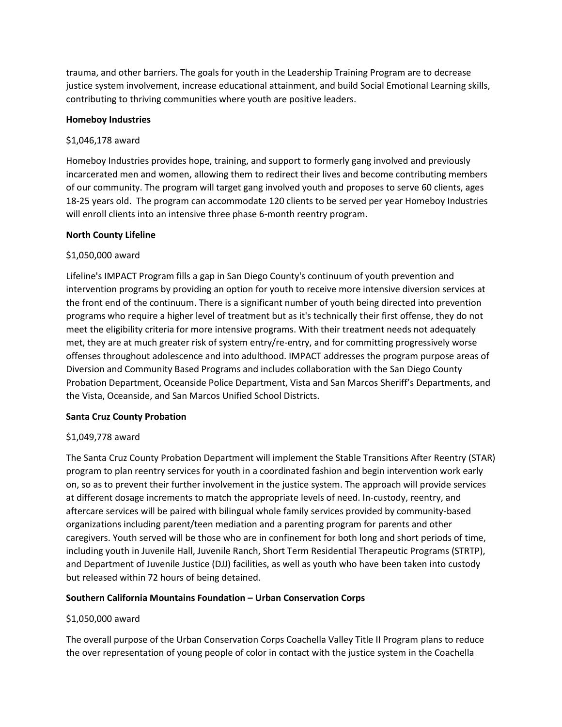trauma, and other barriers. The goals for youth in the Leadership Training Program are to decrease justice system involvement, increase educational attainment, and build Social Emotional Learning skills, contributing to thriving communities where youth are positive leaders.

#### **Homeboy Industries**

#### \$1,046,178 award

Homeboy Industries provides hope, training, and support to formerly gang involved and previously incarcerated men and women, allowing them to redirect their lives and become contributing members of our community. The program will target gang involved youth and proposes to serve 60 clients, ages 18-25 years old. The program can accommodate 120 clients to be served per year Homeboy Industries will enroll clients into an intensive three phase 6-month reentry program.

#### **North County Lifeline**

## \$1,050,000 award

Lifeline's IMPACT Program fills a gap in San Diego County's continuum of youth prevention and intervention programs by providing an option for youth to receive more intensive diversion services at the front end of the continuum. There is a significant number of youth being directed into prevention programs who require a higher level of treatment but as it's technically their first offense, they do not meet the eligibility criteria for more intensive programs. With their treatment needs not adequately met, they are at much greater risk of system entry/re-entry, and for committing progressively worse offenses throughout adolescence and into adulthood. IMPACT addresses the program purpose areas of Diversion and Community Based Programs and includes collaboration with the San Diego County Probation Department, Oceanside Police Department, Vista and San Marcos Sheriff's Departments, and the Vista, Oceanside, and San Marcos Unified School Districts.

## **Santa Cruz County Probation**

## \$1,049,778 award

The Santa Cruz County Probation Department will implement the Stable Transitions After Reentry (STAR) program to plan reentry services for youth in a coordinated fashion and begin intervention work early on, so as to prevent their further involvement in the justice system. The approach will provide services at different dosage increments to match the appropriate levels of need. In-custody, reentry, and aftercare services will be paired with bilingual whole family services provided by community-based organizations including parent/teen mediation and a parenting program for parents and other caregivers. Youth served will be those who are in confinement for both long and short periods of time, including youth in Juvenile Hall, Juvenile Ranch, Short Term Residential Therapeutic Programs (STRTP), and Department of Juvenile Justice (DJJ) facilities, as well as youth who have been taken into custody but released within 72 hours of being detained.

## **Southern California Mountains Foundation – Urban Conservation Corps**

## \$1,050,000 award

The overall purpose of the Urban Conservation Corps Coachella Valley Title II Program plans to reduce the over representation of young people of color in contact with the justice system in the Coachella